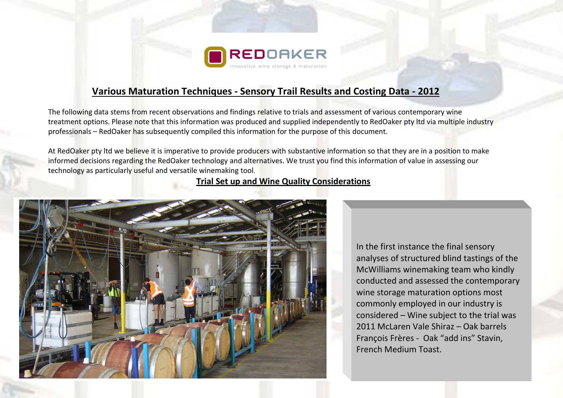

## **Various Maturation Techniques - Sensory Trail Results and Costing Data - 2012**

The following data stems from recent observations and findings relative to trials and assessment of various contemporary wine treatment options. Please note that this information was produced and supplied independently to RedOaker pty ltd via multiple industry professionals – RedOaker has subsequently compiled this information for the purpose of this document.

At RedOaker pty ltd we believe it is imperative to provide producers with substantive information so that they are in a position to make informed decisions regarding the RedOaker technology and alternatives. We trust you find this information of value in assessing our technology as particularly useful and versatile winemaking tool.

## **Trial Set up and Wine Quality Considerations**



In the first instance the final sensory analyses of structured blind tastings of the McWilliams winemaking team who kindly conducted and assessed the contemporary wine storage maturation options most commonly employed in our industry is considered – Wine subject to the trial was 2011 McLaren Vale Shiraz – Oak barrels François Frères - Oak "add ins" Stavin, French Medium Toast.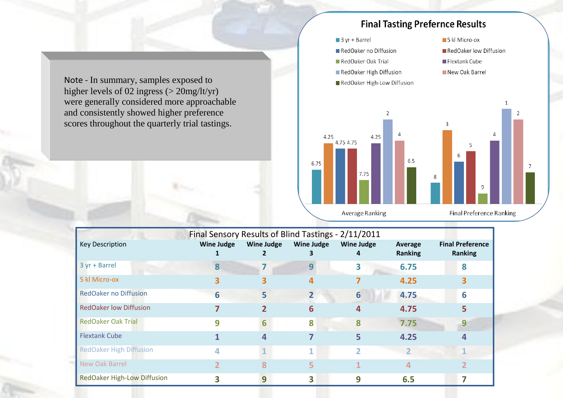Note - In summary, samples exposed to higher levels of 02 ingress (> 20mg/lt/yr) were generally considered more approachable and consistently showed higher preference scores throughout the quarterly trial tastings.



| Final Sensory Results of Blind Tastings - 2/11/2011 |                   |                   |                   |                        |                    |                                           |
|-----------------------------------------------------|-------------------|-------------------|-------------------|------------------------|--------------------|-------------------------------------------|
| <b>Key Description</b>                              | <b>Wine Judge</b> | <b>Wine Judge</b> | <b>Wine Judge</b> | <b>Wine Judge</b><br>4 | Average<br>Ranking | <b>Final Preference</b><br><b>Ranking</b> |
| 3 yr + Barrel                                       |                   |                   | 9                 |                        | 6.75               | 8                                         |
| 5 kl Micro-ox                                       |                   |                   |                   |                        | 4.25               |                                           |
| <b>RedOaker no Diffusion</b>                        | 6                 | 5                 |                   | 6                      | 4.75               | 6                                         |
| <b>RedOaker low Diffusion</b>                       |                   |                   |                   |                        | 4.75               |                                           |
| <b>RedOaker Oak Trial</b>                           | q                 | 6                 | ጸ                 | 8                      | 7.75               |                                           |
| <b>Flextank Cube</b>                                |                   | 4                 |                   |                        | 4.25               |                                           |
| <b>RedOaker High Diffusion</b>                      |                   |                   | и.                | 2                      |                    |                                           |
| New Oak Barrel                                      |                   |                   | 5                 |                        |                    |                                           |
| <b>RedOaker High-Low Diffusion</b>                  |                   | 9                 | 3                 | 9                      | 6.5                |                                           |